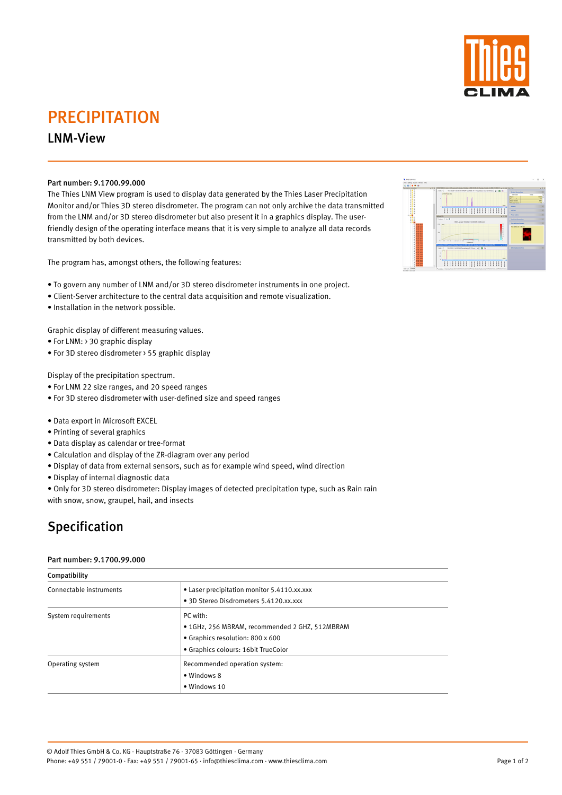# PRECIPITATION

### LNM-View

### Part number: 9.1700.99.000

The Thies LNM View program is used to display data generated by the Thies Laser Precipitation Monitor and/or Thies 3D stereo disdrometer. The program can not only archive the data transmitted from the LNM and/or 3D stereo disdrometer but also present it in a graphics display. The userfriendly design of the operating interface means that it is very simple to analyze all data records transmitted by both devices.

The program has, amongst others, the following features:

- To govern any number of LNM and/or 3D stereo disdrometer instruments in one project.
- Client-Server architecture to the central data acquisition and remote visualization.
- Installation in the network possible.

Graphic display of different measuring values.

- For LNM: > 30 graphic display
- For 3D stereo disdrometer > 55 graphic display

Display of the precipitation spectrum.

- For LNM 22 size ranges, and 20 speed ranges
- For 3D stereo disdrometer with user-defined size and speed ranges
- Data export in Microsoft EXCEL
- Printing of several graphics
- Data display as calendar or tree-format
- Calculation and display of the ZR-diagram over any period
- Display of data from external sensors, such as for example wind speed, wind direction
- Display of internal diagnostic data
- Only for 3D stereo disdrometer: Display images of detected precipitation type, such as Rain rain with snow, snow, graupel, hail, and insects

# Specification

#### Part number: 9.1700.99.000

Compatibility

- Connectable instruments  **Laser precipitation monitor 5.4110.xx.xxx** 
	- $\sim$  Disdromaters  $\sim$  4120



|                     | • 3D Stereo Disdrometers 5.4120.XX.XXX         |
|---------------------|------------------------------------------------|
| System requirements | PC with:                                       |
|                     | • 1GHz, 256 MBRAM, recommended 2 GHZ, 512MBRAM |
|                     | • Graphics resolution: 800 x 600               |
|                     | • Graphics colours: 16bit TrueColor            |
| Operating system    | Recommended operation system:                  |
|                     | • Windows 8                                    |
|                     | · Windows 10                                   |

© Adolf Thies GmbH & Co. KG · Hauptstraße 76 · 37083 Göttingen · Germany Phone: +49 551 / 79001-0 · Fax: +49 551 / 79001-65 · info@thiesclima.com · www.thiesclima.com